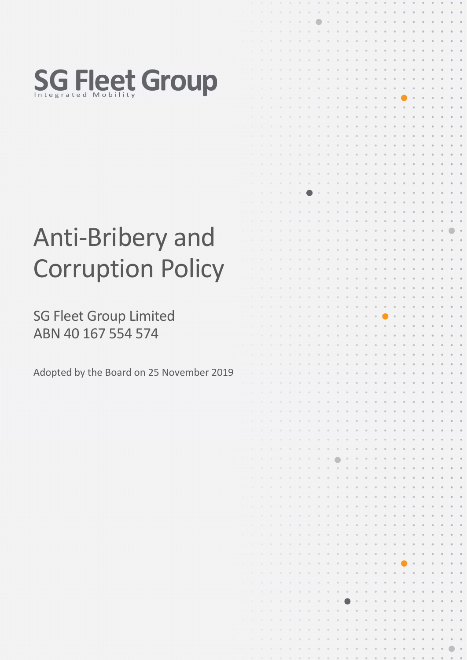

# Anti-Bribery an **Corruption Poli**

SG Fleet Group Limited ABN 40 167 554 574

Adopted by the Board on 25 November

|                           |    |   |                          |               |           |                       |         | $\circ$          | $\boldsymbol{0}$       |         |                      |                                        |          |                |                      |         |                      |                         |        |         |           |          |           | 0                       |
|---------------------------|----|---|--------------------------|---------------|-----------|-----------------------|---------|------------------|------------------------|---------|----------------------|----------------------------------------|----------|----------------|----------------------|---------|----------------------|-------------------------|--------|---------|-----------|----------|-----------|-------------------------|
|                           |    |   |                          | ٠             | ٠         | ۰                     | ۰       | $\circ$          |                        | ۰       | o                    | $\begin{array}{c} \square \end{array}$ |          |                |                      |         |                      |                         |        |         | ø         |          |           | o                       |
|                           |    |   |                          | $\mathcal{G}$ | ×         | $\circ$               | o       | $\circ$          | $\alpha$               | ø       | $\circ$              | ö                                      | ø        | $\circ$        | $\circ$              | ö       | $\circ$              | ö                       | ö      |         | ø         | o        | G         | $_{\odot}$              |
|                           |    |   |                          |               |           |                       |         |                  |                        |         |                      |                                        |          |                |                      |         |                      |                         |        |         |           |          |           |                         |
|                           |    |   |                          | ٠             | ×         | ×                     | ۰       | $\circ$          | $\circ$                | e       | ٠                    | o                                      | ۰        | ø              | $\circ$              | ø       | o                    | $\circ$                 | ø      |         | ø         | ø        | ø         | ø                       |
|                           |    |   |                          | ۵             | ٠         | $\alpha$              | ٠       | ×                | ۰                      | o       | ٠                    | o                                      | ٥        | $\circ$        | $\circ$              | ø       | $\circ$              | $\circ$                 | o      | ø       | ۰         | o        | e         | $_{\odot}$              |
|                           |    |   |                          | ۰             | ٠         | $\Omega$              | ۰       |                  | ۰                      |         |                      | $\Box$                                 | $\sigma$ | $\circ$        | $\circ$              | o       | $\circ$              | $\circ$                 | o      |         | $\circ$   | o        | G         | $^\circ$                |
|                           |    |   |                          | ٠             | ٠         | b                     |         |                  | ٥                      |         |                      | o                                      | ۰        |                | $\alpha$             |         |                      | $\circ$                 |        |         | ٠         | ö        |           | $^\circ$                |
|                           |    |   |                          |               |           |                       |         |                  |                        |         |                      |                                        |          |                |                      |         |                      |                         |        |         |           |          |           |                         |
| $\boldsymbol{\mathsf{p}}$ |    |   |                          | ٠             | ٠         | ×                     | ۰       |                  | $\circ$                | ۰       | $\ddot{\phantom{a}}$ | $\circ$                                | o        | $\circ$        | $\circ$              | ø       | ø                    | $\alpha$                | ø      |         | $\alpha$  | $\circ$  | $\bullet$ | $^\circ$                |
|                           |    |   |                          | ×             | ٠         | ۰                     |         |                  | ø                      |         |                      | $\circ$                                | ٠        | ۰              | $\circ$              | o       |                      | ۰                       | ø      | ø       | $\circ$   | ö        | e         | $\circ$                 |
|                           |    |   | ٠                        | ۰             | ۰         | ۰                     |         |                  |                        |         |                      |                                        |          |                | o                    | o       |                      |                         | ö      |         | o         | ó        |           | o                       |
|                           |    |   | ٠                        | ۰             | ٠         | ۰                     |         |                  |                        |         |                      |                                        |          |                | ۰                    |         |                      |                         |        |         | ö         | ö        |           | $^{\circ}$              |
|                           |    |   |                          |               |           | ö                     |         |                  |                        |         |                      |                                        |          |                |                      |         |                      |                         |        |         | $\circ$   | o        |           |                         |
|                           |    |   |                          | ۰             | ۹         |                       |         |                  |                        |         |                      |                                        |          |                |                      |         |                      |                         |        |         |           |          |           | $\circ$                 |
|                           |    |   | ٠                        | ۰             | ۰         | ۰                     |         |                  |                        |         |                      | ۰                                      |          |                | $\circ$              |         |                      | o                       |        |         | o         |          |           | $\circ$                 |
|                           |    |   | ۰                        | ×             | ۰         | ۰                     | ۰       |                  |                        |         |                      | ۰                                      | o        | ۰              | $\circ$              | o       |                      | o                       | ö      |         | ø         | ۵        |           | $\color{red} 0$         |
|                           |    |   | ٠                        | ۰             | ٠         | ۰                     |         |                  |                        |         |                      |                                        | e        |                | $\circ$              | o       |                      | $\circ$                 | ö      |         | ۰         | ø        |           | $^{\circ}$              |
|                           |    |   | ٠                        | ٠             | ٠         | ۰                     |         |                  |                        |         |                      |                                        |          |                | $\circ$              |         |                      | $\circ$                 |        |         | ۰         |          |           | $\circ$                 |
|                           |    |   |                          |               |           |                       |         |                  |                        |         |                      |                                        |          |                |                      |         |                      |                         |        |         |           |          |           |                         |
|                           |    |   | ×                        | ö,            | ٠         | ۰                     | ٠       |                  |                        |         |                      | ٥                                      | ۰        |                | ۰                    | o       |                      | o                       | ö      |         | 0         | ٥        |           | $\circ$                 |
|                           |    |   | ×                        | ×             | ۰         | ۰                     | ۰       |                  |                        |         |                      | o                                      | ø        |                | $\circ$              | ö       |                      | $\theta$                | ö      |         | $\circ$   | ö        |           | o                       |
|                           |    |   | ٠                        | ò,            | ٠         | 市                     | ×       |                  |                        |         |                      | ۰                                      |          |                | $\circ$              | ö       |                      | ۰                       | ö      |         | ø         | ö        |           | o                       |
|                           |    |   | ×                        | ú.            | ۰         | $\frac{1}{2}$         | ٠       |                  | ٠                      |         |                      |                                        |          |                |                      |         |                      | $\alpha$                |        |         | ø         | ø        |           | ø                       |
|                           |    |   |                          |               |           |                       |         |                  |                        |         |                      |                                        |          |                |                      |         |                      |                         |        |         |           |          |           |                         |
|                           |    |   | ٠                        | ø             | ۰         | ۰                     |         |                  |                        |         |                      |                                        |          |                |                      |         |                      | o                       |        |         |           |          |           | $\circ$                 |
|                           |    |   | ٠                        | ×             | ٠         | ۰                     |         |                  |                        |         |                      |                                        |          |                |                      |         |                      |                         |        |         |           |          |           | $\circ$                 |
|                           |    |   | ٠                        | ×             | ٠         | ۰                     |         |                  |                        |         |                      |                                        |          |                |                      |         |                      | o                       |        |         |           |          |           | $\circledcirc$          |
|                           |    |   |                          |               |           |                       |         |                  |                        |         |                      |                                        |          |                |                      |         |                      |                         |        |         |           |          |           | $^{\circ}$              |
| $\mathsf{d}$              |    |   |                          |               |           |                       |         |                  |                        |         |                      |                                        |          |                |                      |         |                      |                         |        |         |           |          |           |                         |
|                           |    |   |                          |               |           |                       |         |                  |                        |         |                      |                                        |          |                |                      |         |                      |                         |        |         |           |          |           | ø                       |
|                           |    |   |                          | ۰             |           | ۰                     |         |                  |                        |         |                      |                                        |          |                |                      |         |                      |                         |        |         |           |          |           | ¢                       |
|                           |    |   |                          | ٠             |           | ٠                     |         |                  |                        |         |                      |                                        |          |                | ۰                    |         |                      | o                       |        |         | $\circ$   | ø        |           | $\circ$                 |
| CY                        |    |   |                          | ٠             |           |                       |         |                  |                        |         |                      |                                        |          |                | ۰                    | ø       |                      | $\circ$                 | ō      |         | ۰         | $\circ$  |           | o                       |
|                           |    |   |                          |               |           |                       |         |                  |                        |         |                      |                                        |          |                |                      |         |                      |                         |        |         |           |          |           |                         |
|                           |    |   |                          | ٠             |           |                       |         |                  |                        |         |                      |                                        | o        |                | ٠                    | o       |                      | $\circ$                 | ø      |         | $\circ$   | $\circ$  |           | o                       |
|                           |    |   |                          | ٠             |           |                       |         |                  |                        |         |                      |                                        |          |                | ۰                    |         |                      | o                       | ä      |         | $\alpha$  | ø        |           | $^\circ$                |
|                           |    |   | ٠                        | ۰             | ٠         | ۰                     | ٠       |                  | ٠                      |         |                      | o                                      | o        |                | $\circ$              | o       | $\alpha$             | $\circ$                 | $^{0}$ |         | ۰         | $\circ$  |           | $^{\circ}$              |
|                           |    |   | ٠                        | s             | ٠         | o                     | ۰       |                  |                        |         |                      | e                                      | ۰        |                | ۰                    | ø       | ø                    | $\circ$                 | ø      |         | ø         | $\circ$  |           | $^\circ$                |
|                           |    |   |                          |               |           |                       |         |                  |                        |         |                      |                                        |          |                |                      |         |                      |                         |        |         |           |          |           |                         |
|                           |    |   |                          | ٠             | ٠         |                       |         |                  |                        |         |                      |                                        |          |                | ۰                    |         | o                    | $\circ$                 | ö      |         | o         | ø        |           | $\circ$                 |
|                           |    |   | n                        | ٠             | ۰         |                       |         |                  |                        |         |                      |                                        |          |                |                      |         |                      | o                       |        |         |           |          |           | $\circ$                 |
|                           |    |   |                          | ٠             |           |                       |         |                  |                        |         |                      |                                        |          |                |                      |         |                      |                         |        |         |           |          |           | $\circ$                 |
|                           |    |   |                          |               |           |                       |         |                  |                        |         |                      |                                        |          |                |                      |         |                      |                         |        |         |           |          |           | $^\circ$                |
|                           |    |   |                          |               |           |                       |         |                  |                        |         |                      |                                        |          |                |                      |         |                      |                         |        |         |           |          |           |                         |
|                           |    |   |                          |               |           |                       |         |                  |                        |         |                      |                                        |          |                |                      |         |                      |                         |        |         |           |          | ø         | $\circ$                 |
|                           |    |   | ۰                        |               |           |                       |         |                  |                        |         |                      |                                        |          |                |                      |         |                      |                         |        |         |           |          |           | ø                       |
| er 2019                   |    |   | ٠                        | ٠             |           | ٠                     |         |                  |                        |         |                      |                                        | o        |                |                      |         |                      |                         |        |         |           |          |           | $\circ$                 |
|                           |    |   | ٠                        | ٥             | $\circ$   | $\circ$               | ۰       | $\circ$          | ۰                      | o       | $\circ$              | $\circ$                                | ۰        | ۰              | $\circ$              | $\circ$ | $\circ$              | $\qquad \qquad \oplus$  | ö      | e       | $\circ$   | o        |           | $\circ$                 |
|                           |    |   |                          |               |           |                       |         |                  |                        |         |                      |                                        |          |                |                      |         |                      |                         |        |         |           |          |           |                         |
|                           |    |   | $\alpha$                 | ۰             | $\circ$   | $\circ$               | $\circ$ | $\circ$          | ۰                      | $\circ$ | $\circ$              | $\circ$                                | $\circ$  | ۰              | $\circ$              | $\circ$ | $\circ$              | $\circ$                 | o      | G       | ۰         | $\circ$  |           | $\circ$                 |
|                           |    |   | ۰                        | o             | ٠         | $\alpha$              | ٠       | $\circ$          | $\circ$                | ۰       | ۰                    | $\circ$                                | ۰        | $\circ$        | $\circ$              | o       | ۰                    | $\circ$                 | o      | ٠       | $\circ$   | $\circ$  | ٠         | $\circ$                 |
|                           |    |   | $\circ$                  | ۰             | ۰         | $\circledcirc$        | $\circ$ | $\circ$          | ۰                      | ۰       | $\circ$              | ۰                                      | o        | $\mathfrak{g}$ | $\circ$              | $\circ$ | $\circ$              | $\circ$                 | ٥      | ٥       | $\bullet$ | $\circ$  | o         | $\circ$                 |
|                           |    |   | $\Theta$                 | ٠             | $\circ$   | $\odot$               | ۰       | o                | $\circ$                | $\circ$ | $\circ$              | $\circ$                                | $\circ$  | $\circ$        | $\circ$              | $\circ$ | $\circ$              | $\circ$                 | ø      | e       | $\circ$   | o        | e         | $\color{black} \bullet$ |
|                           |    |   |                          |               |           |                       |         |                  |                        |         |                      |                                        |          |                |                      |         |                      |                         |        |         |           |          |           |                         |
|                           |    |   | $\alpha$                 | ۰             | $\circ$   | $\qquad \qquad \circ$ | ۰       | $\circ$          | ø                      | ö       | $\circ$              | $\circ$                                | o        | ö              | $\circ$              | o       | $\circ$              | $\circ$                 | ö      | G       | $\bullet$ | $\alpha$ | ø         | $\circ$                 |
|                           |    |   | 亮                        | ×             | $\circ$   | $\circ$               | ۰       | ó                | ۰                      | ٠       | $\circ$              | ۰                                      | ٠        | $\alpha$       | $\circ$              | ۵       | $\alpha$             | $\circ$                 | ٥      |         | $\circ$   | ۰        |           | $\circ$                 |
|                           |    |   | ×                        | ٠             | $\alpha$  | $\mathfrak{S}$        | ø       | $\circ$          | $\circ$                | ö       | o                    | ø                                      | ö        | o              | $\circ$              | ö       | o                    | $\circ$                 | ø      | ٠       | $\circ$   | o        | e         | $\circ$                 |
|                           |    |   | ٠                        | ۰             | ۰         | $\circ$               | ø       | $\circ$          | $\oplus$               | ø       |                      | $\circ$                                | ٥        | ø              | ö                    | ö       | ø                    | ö                       | o      | ø       | $\circ$   | ö        | ø         | $_{\odot}$              |
|                           |    |   | ×                        | ×             | ۰         | ۰                     | ۰       | $\circ$          | $\circ$                | $\circ$ | ò                    | $\odot$                                | ø        | $\circ$        | $\circ$              | G       | ø                    | $\circ$                 | O      | ø       | $\circ$   | 0        | ø         | 0                       |
|                           |    |   |                          |               |           |                       |         |                  |                        |         |                      |                                        |          |                |                      |         |                      |                         |        |         |           |          |           |                         |
|                           |    |   | ×                        | ø             | ×         | $\alpha$              | $\circ$ | ۰                | $\boldsymbol{0}$       | $\circ$ | $\circ$              | $\circ$                                | Ø        | ö              | $\circ$              | 0       | $\circ$              | $\circ$                 | 0      | ø       | $\circ$   | 0        | $\circ$   | $\circ$                 |
|                           |    |   | $\alpha$                 | ۰             | ۰         | $\alpha$              | ×       | ۰                | $\otimes$              | $\circ$ | $\circ$              | $_{\odot}$                             | $\circ$  | $\odot$        | $\rm ^{\circ}$       | $\circ$ | $\circ$              | $\circ$                 | o      | ö       | ø         | ö        | ø         | $\circ$                 |
|                           |    |   | ×                        | ۰             | ٠         | $\alpha$              | ٠       | $\circ$          | $\alpha$               | o       | $\circ$              | $\circ$                                | ö        | $\circ$        | $\circ$              | $\circ$ | $\circ$              | $\circ$                 | o      | ø       | $\circ$   | o        | $\theta$  | $_{\odot}$              |
|                           |    |   | ٠                        | ø             | ۰         | $\alpha$              | ۰       | ×                | $\qquad \qquad \circ$  | o       | o                    | $\Box$                                 | ø        | $\sigma$       | $\alpha$             | ø       | $\circ$              | $\circ$                 | ø      | e       | o         | o        | ø         | $_{\odot}$              |
|                           |    |   |                          |               |           |                       |         |                  |                        |         |                      |                                        |          |                |                      |         |                      |                         |        |         |           |          |           |                         |
|                           |    |   | $\overline{\mathcal{M}}$ | ٠             | ۰         | $\alpha$              | ۰       | ۰                | $\Box$                 | ø       | $\circ$              | $\circ$                                | ö        | o              | $\circ$              | ø       | $\circ$              | $\circ$                 | o      | ø       | $\circ$   | ö        | ø         | $\circ$                 |
|                           |    |   | ٠                        | ٠             | ٠         | $\Omega$              | ۰       | $\circ$          | $\qquad \qquad \oplus$ | ø       | $\circ$              | $\odot$                                | $\circ$  | $\circ$        | $\circ$              | $\circ$ | $\circ$              | $\circ$                 | o      | $\circ$ | $\circ$   | $\circ$  | $\circ$   | $_{\odot}$              |
|                           |    | ٠ | ×                        | ٠             | ۰         | ×                     | ٠       | œ                | $\alpha$               | ø       | ø                    | <b>IS</b>                              | ö        | ö              | $\circ$              | ö       | ø                    | $\circ$                 | o      | $\circ$ | $\circ$   | $\circ$  | $\circ$   | $\circ$                 |
|                           |    |   | $\alpha$                 | ٠             | ×         | $\alpha$              | ۰       | ×                | $\Box$                 | ö       | $\circ$              | $\Box$                                 | ø        | $\circ$        | $\sigma$             | o       | $\circ$              | $\circ$                 | o      | ø       | $\circ$   | ø        | $\alpha$  | O                       |
|                           |    |   |                          |               |           |                       |         |                  |                        |         |                      |                                        |          |                |                      |         |                      |                         |        |         |           |          |           |                         |
|                           |    |   | ×                        | ۰             | ۰         | $\overline{a}$        | ö       | $\circ$          | $\circ$                | ö       | ó                    | $\circ$                                | ó        | $\circ$        | $\circ$              | $\circ$ | $\ddot{\phantom{a}}$ | $\circ$                 | o      | ø       | $\circ$   | ö        | ٠         | $\circ$                 |
|                           |    |   | ×                        | ٠             | ×         | ø,                    | ×       | ۰                | $\Theta$               | ö       | ۰                    | $\oplus$                               | $\odot$  | $\circ$        | $\circ$              | o       | ø                    |                         | o      | ø       | $\circ$   | ø        | $\circ$   | $\circ$                 |
|                           |    |   | ۰                        | ò,            | $\alpha$  | $\circ$               | ö       | ö                | $\circ$                | ۰       | ø                    | $\overline{\text{o}}$                  | ö        | ø              | $\ddot{\phantom{1}}$ | ö       | ø                    | $\circ$                 | o      | ø       | o         | 0        | ø         | $_{\odot}$              |
|                           |    |   | ×                        | ö             | ۰         | $\alpha$              | ۰       | $\boldsymbol{0}$ | $\oplus$               | $\circ$ | ö                    | $\odot$                                | ø        | ö              | $\circ$              | ö       | ö                    | ö                       | ö      | ø       | $\circ$   | ö        |           | $^\circ$                |
|                           |    |   |                          |               |           |                       |         |                  |                        |         |                      |                                        |          |                |                      |         |                      |                         |        |         |           |          |           |                         |
|                           |    |   | ۰                        | ×             | ×         | $\sigma$              | ۰       | ö                | o                      | ø       | $\circ$              | ø                                      | ø        | ø              | $\bullet$            | 0       | ø                    | o                       | ö      | ö       | $\circ$   | ö        | ö         | 0                       |
|                           |    |   | ×                        | ×             | ۰         | $\alpha$              | ٠       | ö                | $\circ$                | ø       | ۰                    |                                        | ö        | ۰              | $\circ$              | ٥       | ö                    | ö                       | o      | ø       | o         | ö        |           | $_{\odot}$              |
|                           |    |   | ×                        | ×             | ٠         | $\circ$               | O,      | ٠                | $\alpha$               | o       | ۰                    | ø                                      | ö        | $\circ$        | $\circ$              | ó       | ó                    | $\color{orange}\bullet$ | ö      | ø       | o         | o        |           | $\circledcirc$          |
|                           |    |   | $\lambda$                | ×             | $\bar{a}$ | $\alpha$              | ö       | ø                | $\Theta$               | o       | ۰                    | O.                                     | ø        | ۵              | $\bullet$            | ö       | ø                    | $\circ$                 | ö      | ۰       | ø         | ø        |           | $\circ$                 |
|                           |    |   |                          |               |           |                       |         |                  |                        |         |                      |                                        |          |                |                      |         |                      |                         |        |         |           |          |           |                         |
|                           |    |   | $\alpha$                 | ×             | $\alpha$  | $\alpha$              | ö       | ×                | ö                      | ö       | o                    | ö                                      | ö        | ø              | $\circ$              | ø       | o                    | $\theta$                | ö      | ø       | ø         | ö        |           | o                       |
|                           |    |   |                          |               |           |                       |         |                  |                        |         |                      |                                        |          |                |                      |         |                      |                         |        |         |           |          |           |                         |
|                           | m. |   | ×                        | ۰             | ٠         | $\circ$               | ø       | ۰                | $\circ$                | ø       | ۰                    | $\Box$                                 | o        | $\circ$        | $\circ$              | o       | $\mathbb{Q}$         | $\circ$                 | o      | $\circ$ | $\circ$   | ø        |           | $\circ$                 |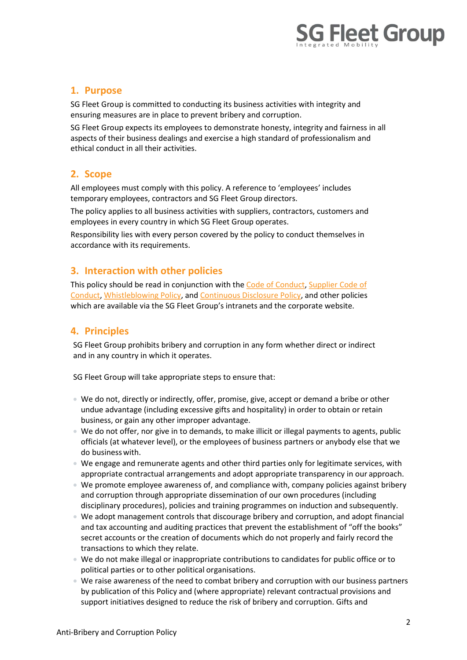

## 1. Purpose

SG Fleet Group is committed to conducting its business activities with integrity and ensuring measures are in place to prevent bribery and corruption.

SG Fleet Group expects its employees to demonstrate honesty, integrity and fairness in all aspects of their business dealings and exercise a high standard of professionalism and ethical conduct in all their activities.

# 2. Scope

All employees must comply with this policy. A reference to 'employees' includes temporary employees, contractors and SG Fleet Group directors.

The policy applies to all business activities with suppliers, contractors, customers and employees in every country in which SG Fleet Group operates.

Responsibility lies with every person covered by the policy to conduct themselves in accordance with its requirements.

# 3. Interaction with other policies

This policy should be read in conjunction with the Code of Conduct, Supplier Code of Conduct, Whistleblowing Policy, and Continuous Disclosure Policy, and other policies which are available via the SG Fleet Group's intranets and the corporate website.

## 4. Principles

SG Fleet Group prohibits bribery and corruption in any form whether direct or indirect and in any country in which it operates.

SG Fleet Group will take appropriate steps to ensure that:

- We do not, directly or indirectly, offer, promise, give, accept or demand a bribe or other undue advantage (including excessive gifts and hospitality) in order to obtain or retain business, or gain any other improper advantage.
- We do not offer, nor give in to demands, to make illicit or illegal payments to agents, public officials (at whatever level), or the employees of business partners or anybody else that we do business with.
- We engage and remunerate agents and other third parties only for legitimate services, with appropriate contractual arrangements and adopt appropriate transparency in our approach.
- We promote employee awareness of, and compliance with, company policies against bribery and corruption through appropriate dissemination of our own procedures (including disciplinary procedures), policies and training programmes on induction and subsequently.
- We adopt management controls that discourage bribery and corruption, and adopt financial and tax accounting and auditing practices that prevent the establishment of "off the books" secret accounts or the creation of documents which do not properly and fairly record the transactions to which they relate.
- We do not make illegal or inappropriate contributions to candidates for public office or to political parties or to other political organisations.
- We raise awareness of the need to combat bribery and corruption with our business partners by publication of this Policy and (where appropriate) relevant contractual provisions and support initiatives designed to reduce the risk of bribery and corruption. Gifts and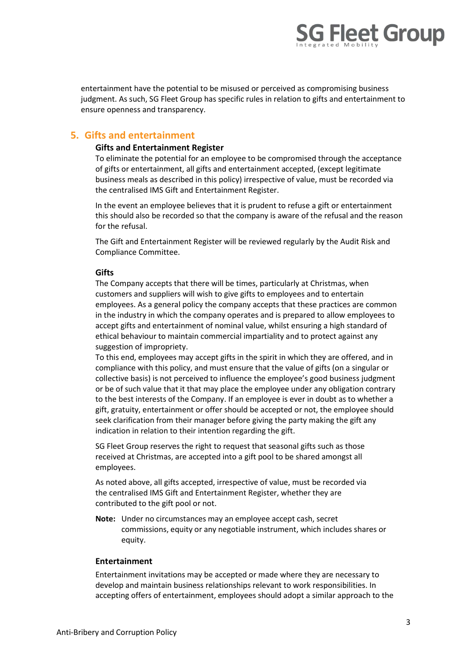

entertainment have the potential to be misused or perceived as compromising business judgment. As such, SG Fleet Group has specific rules in relation to gifts and entertainment to ensure openness and transparency.

## 5. Gifts and entertainment

#### Gifts and Entertainment Register

To eliminate the potential for an employee to be compromised through the acceptance of gifts or entertainment, all gifts and entertainment accepted, (except legitimate business meals as described in this policy) irrespective of value, must be recorded via the centralised IMS Gift and Entertainment Register.

In the event an employee believes that it is prudent to refuse a gift or entertainment this should also be recorded so that the company is aware of the refusal and the reason for the refusal.

The Gift and Entertainment Register will be reviewed regularly by the Audit Risk and Compliance Committee.

#### **Gifts**

The Company accepts that there will be times, particularly at Christmas, when customers and suppliers will wish to give gifts to employees and to entertain employees. As a general policy the company accepts that these practices are common in the industry in which the company operates and is prepared to allow employees to accept gifts and entertainment of nominal value, whilst ensuring a high standard of ethical behaviour to maintain commercial impartiality and to protect against any suggestion of impropriety.

To this end, employees may accept gifts in the spirit in which they are offered, and in compliance with this policy, and must ensure that the value of gifts (on a singular or collective basis) is not perceived to influence the employee's good business judgment or be of such value that it that may place the employee under any obligation contrary to the best interests of the Company. If an employee is ever in doubt as to whether a gift, gratuity, entertainment or offer should be accepted or not, the employee should seek clarification from their manager before giving the party making the gift any indication in relation to their intention regarding the gift.

SG Fleet Group reserves the right to request that seasonal gifts such as those received at Christmas, are accepted into a gift pool to be shared amongst all employees.

As noted above, all gifts accepted, irrespective of value, must be recorded via the centralised IMS Gift and Entertainment Register, whether they are contributed to the gift pool or not.

Note: Under no circumstances may an employee accept cash, secret commissions, equity or any negotiable instrument, which includes shares or equity.

#### Entertainment

Entertainment invitations may be accepted or made where they are necessary to develop and maintain business relationships relevant to work responsibilities. In accepting offers of entertainment, employees should adopt a similar approach to the